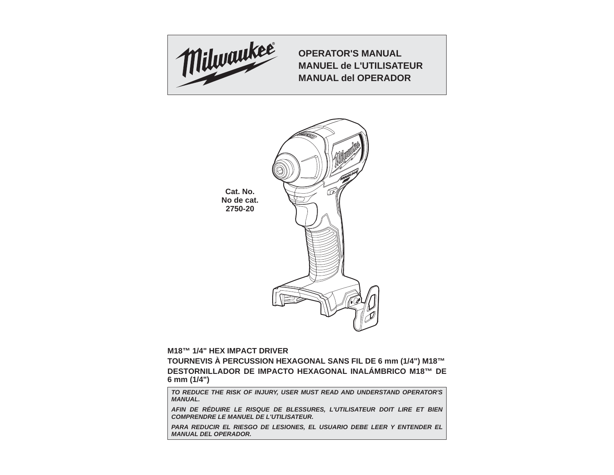

**OPERATOR'S MANUALMANUEL de L'UTILISATEURMANUAL del OPERADOR**



**M18™ 1/4" HEX IMPACT DRIVER**

**TOURNEVIS À PERCUSSION HEXAGONAL SANS FIL DE 6 mm (1/4") M18™ DESTORNILLADOR DE IMPACTO HEXAGONAL INALÁMBRICO M18™ DE 6 mm (1/4")**

*TO REDUCE THE RISK OF INJURY, USER MUST READ AND UNDERSTAND OPERATOR'S MANUAL.*

*AFIN DE RÉDUIRE LE RISQUE DE BLESSURES, L'UTILISATEUR DOIT LIRE ET BIEN COMPRENDRE LE MANUEL DE L'UTILISATEUR.*

**PARA REDUCIR EL RIESGO DE LESIONES, EL USUARIO DEBE LEER Y ENTENDER EL** *MANUAL DEL OPERADOR.*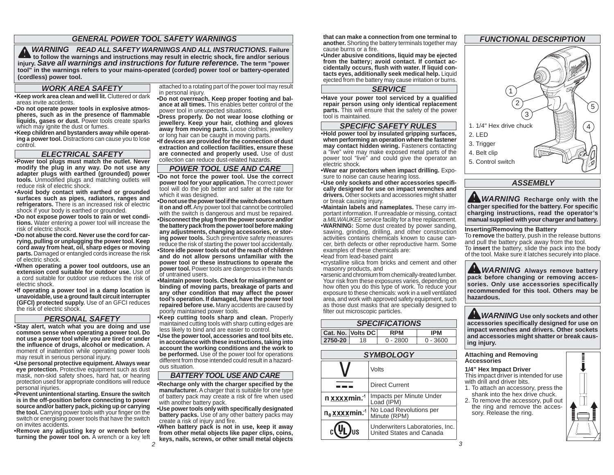#### *GENERAL POWER TOOL SAFETY WARNINGS*

*WARNING READ ALL SAFETY WARNINGS AND ALL INSTRUCTIONS.* **Failureto follow the warnings and instructions may result in electric shock, fire and/or serious injury.** *Save all warnings and instructions for future reference.* **The term "power tool" in the warnings refers to your mains-operated (corded) power tool or battery-operated (cordless) power tool.**

#### *WORK AREA SAFETY*

**• Keep work area clean and well lit.** Cluttered or dark areas invite accidents.

 **• Do not operate power tools in explosive atmospheres, such as in the presence of fl ammable**  liquids, gases or dust. Power tools create sparks which may ignite the dust or fumes.

**• Keep children and bystanders away while operating a power tool.** Distractions can cause you to lose control.

### *ELECTRICAL SAFETY*

**• Power tool plugs must match the outlet. Never modify the plug in any way. Do not use any adapter plugs with earthed (grounded) power**  tools. Unmodified plugs and matching outlets will reduce risk of electric shock.

**• Avoid body contact with earthed or grounded surfaces such as pipes, radiators, ranges and refrigerators.** There is an increased risk of electric shock if your body is earthed or grounded.

**• Do not expose power tools to rain or wet conditions.** Water entering a power tool will increase the risk of electric shock.

 **• Do not abuse the cord. Never use the cord for carrying, pulling or unplugging the power tool. Keep cord away from heat, oil, sharp edges or moving parts.** Damaged or entangled cords increase the risk of electric shock.

 **• When operating a power tool outdoors, use an extension cord suitable for outdoor use.** Use of a cord suitable for outdoor use reduces the risk of electric shock.

**• If operating a power tool in a damp location is unavoidable, use a ground fault circuit interrupter (GFCI) protected supply.** Use of an GFCI reduces the risk of electric shock.

#### *PERSONAL SAFETY*

**• Stay alert, watch what you are doing and use common sense when operating a power tool. Do not use a power tool while you are tired or under the infl uence of drugs, alcohol or medication.** A moment of inattention while operating power tools may result in serious personal injury.

**• Use personal protective equipment. Always wear eye protection.** Protective equipment such as dust mask, non-skid safety shoes, hard hat, or hearing protection used for appropriate conditions will reduce personal injuries.

**• Prevent unintentional starting. Ensure the switch is in the off-position before connecting to power source and/or battery pack, picking up or carrying the tool.** Carrying power tools with your finger on the switch or energising power tools that have the switch on invites accidents.

**• Remove any adjusting key or wrench before turning the power tool on.** A wrench or a key left attached to a rotating part of the power tool may result in personal injury.

**• Do not overreach. Keep proper footing and balance at all times.** This enables better control of the power tool in unexpected situations.

**• Dress properly. Do not wear loose clothing or jewellery. Keep your hair, clothing and gloves away from moving parts.** Loose clothes, jewellery or long hair can be caught in moving parts.

**• If devices are provided for the connection of dust extraction and collection facilities, ensure these are connected and properly used.** Use of dust collection can reduce dust-related hazards.

#### *POWER TOOL USE AND CARE*

**• Do not force the power tool. Use the correct power tool for your application.** The correct power tool will do the job better and safer at the rate for which it was designed.

**• Do not use the power tool if the switch does not turn it on and off.** Any power tool that cannot be controlled with the switch is dangerous and must be repaired. **• Disconnect the plug from the power source and/or the battery pack from the power tool before making any adjustments, changing accessories, or storing power tools.** Such preventive safety measures reduce the risk of starting the power tool accidentally. **• Store idle power tools out of the reach of children and do not allow persons unfamiliar with the power tool or these instructions to operate the power tool.** Power tools are dangerous in the hands

of untrained users. **• Maintain power tools. Check for misalignment or binding of moving parts, breakage of parts and any other condition that may affect the power tool's operation. If damaged, have the power tool repaired before use.** Many accidents are caused by poorly maintained power tools.

**• Keep cutting tools sharp and clean.** Properly maintained cutting tools with sharp cutting edges are less likely to bind and are easier to control.

**• Use the power tool, accessories and tool bits etc. in accordance with these instructions, taking into account the working conditions and the work to be performed.** Use of the power tool for operations different from those intended could result in a hazardous situation.

### *BATTERY TOOL USE AND CARE*

**• Recharge only with the charger specified by the manufacturer.** A charger that is suitable for one type of battery pack may create a risk of fire when used with another battery pack.

**• Use power tools only with specifi cally designated battery packs.** Use of any other battery packs may create a risk of injury and fire.

*2 3* **• When battery pack is not in use, keep it away from other metal objects like paper clips, coins, keys, nails, screws, or other small metal objects** 

**that can make a connection from one terminal to another.** Shorting the battery terminals together may cause burns or a fire.

 **• Under abusive conditions, liquid may be ejected from the battery; avoid contact. If contact accidentally occurs, fl ush with water. If liquid contacts eyes, additionally seek medical help.** Liquid ejected from the battery may cause irritation or burns.

#### *SERVICE*

**• Have your power tool serviced by a qualifi ed repair person using only identical replacement parts.** This will ensure that the safety of the power tool is maintained.

### *SPECIFIC SAFETY RULES*

**• Hold power tool by insulated gripping surfaces, when performing an operation where the fastener may contact hidden wiring.** Fasteners contacting <sup>a</sup>"live" wire may make exposed metal parts of the power tool "live" and could give the operator an electric shock.

**• Wear ear protectors when impact drilling.** Exposure to noise can cause hearing loss.

• **Use only sockets and other accessories specifi cally designed for use on impact wrenches and drivers.** Other sockets and accessories might shatter or break causing injury.

• **Maintain labels and nameplates.** These carry important information. If unreadable or missing, contact a *MILWAUKEE* service facility for a free replacement. • **WARNING:** Some dust created by power sanding, sawing, grinding, drilling, and other construction activities contains chemicals known to cause cancer, birth defects or other reproductive harm. Some examples of these chemicals are:

• lead from lead-based paint

• crystalline silica from bricks and cement and other masonry products, and

• arsenic and chromium from chemically-treated lumber. Your risk from these exposures varies, depending on how often you do this type of work. To reduce your exposure to these chemicals: work in a well ventilated area, and work with approved safety equipment, such as those dust masks that are specially designed to filter out microscopic particles.

| <b>SPECIFICATIONS</b> |    |            |          |  |
|-----------------------|----|------------|----------|--|
| Cat. No. Volts DC     |    | <b>RPM</b> | IPM      |  |
| 2750-20               | 18 | Ი - 2800   | Ი - ᲕᲜᲘᲘ |  |

| <b>SYMBOLOGY</b>                |                                                             |  |
|---------------------------------|-------------------------------------------------------------|--|
|                                 | Volts                                                       |  |
|                                 | <b>Direct Current</b>                                       |  |
| n xxxxmin. <sup>1</sup>         | Impacts per Minute Under<br>Load (IPM)                      |  |
| $n_0$ x x x x min. <sup>1</sup> | No Load Revolutions per<br>Minute (RPM)                     |  |
|                                 | Underwriters Laboratories, Inc.<br>United States and Canada |  |

# *FUNCTIONAL DESCRIPTION*



## *ASSEMBLY*

*WARNING* Recharge only with the **charger specifi ed for the battery. For specifi<sup>c</sup> charging instructions, read the operator's manual supplied with your charger and battery.**

**Inserting/Removing the Battery**

To **remove** the battery, push in the release buttons and pull the battery pack away from the tool. To **insert** the battery, slide the pack into the body of the tool. Make sure it latches securely into place.

*WARNING* Always remove battery **pack before changing or removing accessories. Only use accessories specifically recommended for this tool. Others may be hazardous.**

*WARNING* Use only sockets and other **accessories specifi cally designed for use on impact wrenches and drivers. Other sockets and accessories might shatter or break causing injury.**

#### **Attaching and Removing Accessories**

#### **1/4" Hex Impact Driver**

This impact driver is intended for use with drill and driver bits. 1. To attach an accessory, press the

- shank into the hex drive chuck.2. To remove the accessory, pull out
- the ring and remove the accessory. Release the ring.



Γ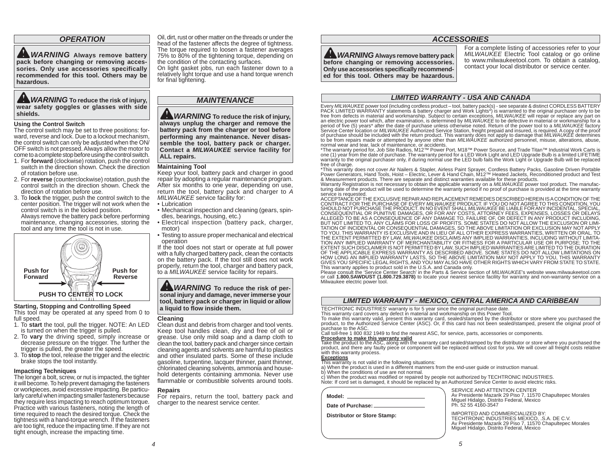# *OPERATION*

*WARNING* **Always remove battery pack before changing or removing accessories. Only use accessories specifically recommended for this tool. Others may be hazardous.**

### *WARNING* To reduce the risk of injury, **wear safety goggles or glasses with side shields.**

#### **Using the Control Switch**

The control switch may be set to three positions: forward, reverse and lock. Due to a lockout mechanism, the control switch can only be adjusted when the ON/ OFF switch is not pressed. Always allow the motor to come to a complete stop before using the control switch.

- 1. For **forward** (clockwise) rotation, push the control switch in the direction shown. Check the direction of rotation before use.
- 2. For **reverse** (counterclockwise) rotation, push the control switch in the direction shown. Check the direction of rotation before use.
- 3. To **lock** the trigger, push the control switch to the center position. The trigger will not work when the control switch is in the locked position. Always remove the battery pack before performing maintenance, changing accessories, storing the tool and any time the tool is not in use.



#### **Starting, Stopping and Controlling Speed**

This tool may be operated at any speed from 0 to full speed.

- 1. To **start** the tool, pull the trigger. NOTE: An LED is turned on when the trigger is pulled.
- 2. To **vary** the driving speed, simply increase or decrease pressure on the trigger. The further the trigger is pulled, the greater the speed.
- 3. To **stop** the tool, release the trigger and the electric brake stops the tool instantly.

#### **Impacting Techniques**

The longer a bolt, screw, or nut is impacted, the tighter it will become. To help prevent damaging the fasteners or workpieces, avoid excessive impacting. Be particularly careful when impacting smaller fasteners because they require less impacting to reach optimum torque. Practice with various fasteners, noting the length of time required to reach the desired torque. Check the tightness with a hand-torque wrench. If the fasteners are too tight, reduce the impacting time. If they are not tight enough, increase the impacting time.

Oil, dirt, rust or other matter on the threads or under the head of the fastener affects the degree of tightness. The torque required to loosen a fastener averages 75% to 80% of the tightening torque, depending on the condition of the contacting surfaces.

On light gasket jobs, run each fastener down to a relatively light torque and use a hand torque wrench for final tightening.

# *MAINTENANCE*

*WARNING* To reduce the risk of injury, **always unplug the charger and remove the battery pack from the charger or tool before performing any maintenance. Never disassemble the tool, battery pack or charger. Contact a** *MILWAUKEE* **service facility for ALL repairs.**

#### **Maintaining Tool**

Keep your tool, battery pack and charger in good repair by adopting a regular maintenance program. After six months to one year, depending on use, return the tool, battery pack and charger to *A MILWAUKEE* service facility for:

- Lubrication
- Mechanical inspection and cleaning (gears, spindles, bearings, housing, etc.)
- Electrical inspection (battery pack, charger, motor)
- Testing to assure proper mechanical and electrical operation

If the tool does not start or operate at full power with a fully charged battery pack, clean the contacts on the battery pack. If the tool still does not work properly, return the tool, charger and battery pack, to a *MILWAUKEE* service facility for repairs.

**WARNING** To reduce the risk of per**sonal injury and damage, never immerse your tool, battery pack or charger in liquid or allow a liquid to fl ow inside them.**

#### **Cleaning**

Clean dust and debris from charger and tool vents. Keep tool handles clean, dry and free of oil or grease. Use only mild soap and a damp cloth to clean the tool, battery pack and charger since certain cleaning agents and solvents are harmful to plastics and other insulated parts. Some of these include gasoline, turpentine, lacquer thinner, paint thinner, chlorinated cleaning solvents, ammonia and household detergents containing ammonia. Never use flammable or combustible solvents around tools.

#### **Repairs**

For repairs, return the tool, battery pack and charger to the nearest service center.

# *ACCESSORIES*

*WARNING* **Always remove battery pack before changing or removing accessories. Only use accessories specifically recommended for this tool. Others may be hazardous.**  For a complete listing of accessories refer to your *MILWAUKEE* Electric Tool catalog or go online to www.milwaukeetool.com. To obtain a catalog, contact your local distributor or service center.

### *LIMITED WARRANTY - USA AND CANADA*

Every *MILWAUKEE* power tool (including cordless product – tool, battery pack(s) - see separate & distinct CORDLESS BATTERY PACK LIMITED WARRANTY statements & battery charger and Work Lights\*) is warranted to the original purchaser only to be free from defects in material and workmanship. Subject to certain exceptions, *MILWAUKEE* will repair or replace any part on an electric power tool which, after examination, is determined by *MILWAUKEE* to be defective in material or workmanship for a<br>period of five (5) years\* after the date of purchase unless otherwise noted. Return of the powe of purchase should be included with the return product. This warranty does not apply to damage that *MILWAUKEE* determines<br>to be from repairs made or attempted by anyone other than *MILWAUKEE* authorized personnel, misuse, normal wear and tear, lack of maintenance, or accidents.

\*The warranty period for, Job Site Radios, M12™ Power Port, M18™ Power Source, and Trade Titan™ Industrial Work Carts is one (1) year from the date of purchase. The warranty period for a LED Work Light and LED Upgrade Bulb is a limited LIFETIME warranty to the original purchaser only, if during normal use the LED bulb fails the Work Light or Upgrade Bulb will be replaced free of charge.

\*This warranty does not cover Air Nailers & Stapler, Airless Paint Sprayer, Cordless Battery Packs, Gasoline Driven Portable<br>Power Generators, Hand Tools, Hoist – Electric, Lever & Hand Chain, M12™ Heated Jackets, Recondi

Warranty Registration is not necessary to obtain the applicable warranty on a *MILWAUKEE* power tool product. The manufacturing date of the product will be used to determine the warranty period if no proof of purchase is provided at the time warranty service is requested.

ACCEPTANCE OF THE EXCLUSIVE REPAIR AND REPLACEMENT REMEDIES DESCRIBED HEREIN IS A CONDITION OF THE CONTRACT FOR THE PURCHASE OF EVERY *MILWAUKEE* PRODUCT. IF YOU DO NOT AGREE TO THIS CONDITION, YOU SHOULD NOT PURCHASE THE PRODUCT. IN NO EVENT SHALL *MILWAUKEE* BE LIABLE FOR ANY INCIDENTAL, SPECIAL, CONSEQUENTIAL OR PUNITIVE DAMAGES, OR FOR ANY COSTS, ATTORNEY FEES, EXPENSES, LOSSES OR DELAYS ALLEGED TO BE AS A CONSEQUENCE OF ANY DAMAGE TO, FAILURE OF, OR DEFECT IN ANY PRODUCT INCLUDING, BUT NOT LIMITED TO, ANY CLAIMS FOR LOSS OF PROFITS. SOME STATES DO NOT ALLOW THE EXCLUSION OR LIMI-TATION OF INCIDENTAL OR CONSEQUENTIAL DAMAGES, SO THE ABOVE LIMITATION OR EXCLUSION MAY NOT APPLY TO YOU. THIS WARRANTY IS EXCLUSIVE AND IN LIEU OF ALL OTHER EXPRESS WARRANTIES, WRITTEN OR ORAL. TO THE EXTENT PERMITTED BY LAW, *MILWAUKEE* DISCLAIMS ANY IMPLIED WARRANTIES, INCLUDING WITHOUT LIMITA-TION ANY IMPLIED WARRANTY OF MERCHANTABILITY OR FITNESS FOR A PARTICULAR USE OR PURPOSE; TO THE EXTENT SUCH DISCLAIMER IS NOT PERMITTED BY LAW, SUCH IMPLIED WARRANTIES ARE LIMITED TO THE DURATION OF THE APPLICABLE EXPRESS WARRANTY AS DESCRIBED ABOVE. SOME STATES DO NOT ALLOW LIMITATIONS ON HOW LONG AN IMPLIED WARRANTY LASTS, SO THE ABOVE LIMITATION MAY NOT APPLY TO YOU, THIS WARRANTY GIVES YOU SPECIFIC LEGAL RIGHTS, AND YOU MAY ALSO HAVE OTHER RIGHTS WHICH VARY FROM STATE TO STATE.

This warranty applies to product sold in the U.S.A. and Canada only. Please consult the 'Service Center Search' in the Parts & Service section of *MILWAUKEE*'s website www.milwaukeetool.com or call **1.800.SAWDUST (1.800.729.3878)** to locate your nearest service facility for warranty and non-warranty service on a Milwaukee electric power tool.

### *LIMITED WARRANTY - MEXICO, CENTRAL AMERICA AND CARIBBEAN*

TECHTRONIC INDUSTRIES' warranty is for 5 year since the original purchase date. This warranty card covers any defect in material and workmanship on this Power Tool.

To make this warranty valid, present this warranty card, sealed/stamped by the distributor or store where you purchased the<br>product, to the Authorized Service Center (ASC). Or, if this card has not been sealed/stamped, pre purchase to the ASC.

Call toll-free 1 800 832 1949 to find the nearest ASC, for service, parts, accessories or components.

#### **Procedure to make this warranty valid**

Take the product to the ASC, along with the warranty card sealed/stamped by the distributor or store where you purchased the product, and there any faulty piece or component will be replaced without cost for you. We will cover all freight costs relative with this warranty process.

**Exceptions** This warranty is not valid in the following situations:

a) When the product is used in a different manners from the end-user guide or instruction manual.

b) When the conditions of use are not normal.

c) When the product was modified or repaired by people not authorized by TECHTRONIC INDUSTRIES.<br>Note: If cord set is damaged, it should be replaced by an Authorized Service Center to avoid electric risks.

| Model: | SERVIUE AND ALLENTION UENTER<br>Av Presidente Mazarik 29 Piso 7, 11570 Chapultepec Morales |
|--------|--------------------------------------------------------------------------------------------|
|        | Miguel Hidalgo, Distrito Federal, Mexico                                                   |

**Date of Purchase:**

**Distributor or Store Stamp:**

 Miguel Hidalgo, Distrito Federal, Mexico Ph. 52 55 4160-3547 IMPORTED AND COMMERCIALIZED BY:**EXAMPLE TECHTRONIC INDUSTRIES MEXICO, .S.A. DE C.V.** TECHTRONIC INDUSTRIES MEXICO, .S.A. DE C.V. Av Presidente Mazarik 29 Piso 7, 11570 Chapultepec Morales

SERVICE AND ATTENTION CENTER

Miguel Hidalgo, Distrito Federal, Mexico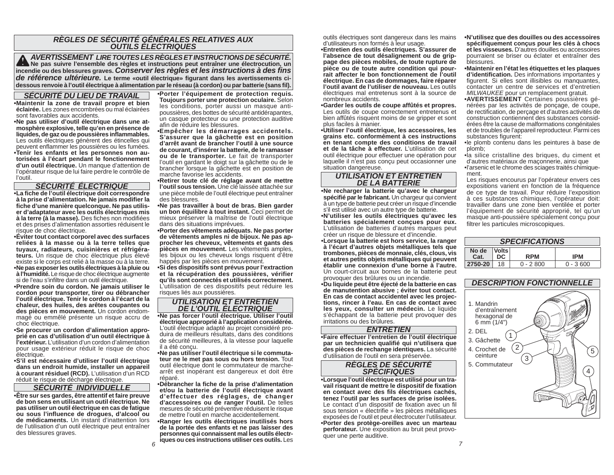# *RÈGLES DE SÉCURITÉ GÉNÉRALES RELATIVES AUX OUTILS ÉLECTRIQUES*

 *AVERTISSEMENT LIRE TOUTES LES RÈGLES ET INSTRUCTIONS DE SÉCURITÉ.* **Ne pas suivre l'ensemble des règles et instructions peut entraîner une électrocution, un**  incendie ou des blessures graves. *Conserver les règles et les instructions à des fins de référence ultérieure.* **Le terme «outil électrique» figurant dans les avertissements cidessous renvoie à l'outil électrique à alimentation par le réseau (à cordon) ou par batterie (sans fi l).**

#### *SÉCURITÉ DU LIEU DE TRAVAIL*

**• Maintenir la zone de travail propre et bien éclairée.** Les zones encombrées ou mal éclairées sont favorables aux accidents.

 **• Ne pas utiliser d'outil électrique dans une atmosphère explosive, telle qu'en en présence de liquides, de gaz ou de poussières infl ammables.** Les outils électriques génèrent des étincelles qui peuvent enflammer les poussières ou les fumées. **• Tenir les enfants et les personnes non autorisées à l'écart pendant le fonctionnement d'un outil électrique.** Un manque d'attention de l'opérateur risque de lui faire perdre le contrôle de l'outil.

## *SÉCURITÉ ÉLECTRIQUE*

**• La fi che de l'outil électrique doit correspondre à la prise d'alimentation. Ne jamais modifi er la**  fiche d'une manière quelconque. Ne pas utilis**er d'adaptateur avec les outils électriques mis à la terre (à la masse).** Des fiches non modifiées et des prises d'alimentation assorties réduisent le risque de choc électrique.

**• Éviter tout contact corporel avec des surfaces reliées à la masse ou à la terre telles que tuyaux, radiateurs, cuisinières et réfrigérateurs.** Un risque de choc électrique plus élevé existe si le corps est relié à la masse ou à la terre. **• Ne pas exposer les outils électriques à la pluie ou à l'humidité.** Le risque de choc électrique augmente si de l'eau s'infiltre dans un outil électrique.

**• Prendre soin du cordon. Ne jamais utiliser le cordon pour transporter, tirer ou débrancher l'outil électrique. Tenir le cordon à l'écart de la chaleur, des huiles, des arêtes coupantes ou des pièces en mouvement.** Un cordon endommagé ou emmêlé présente un risque accru de choc électrique.

**• Se procurer un cordon d'alimentation approprié en cas d'utilisation d'un outil électrique à l'extérieur.** L'utilisation d'un cordon d'alimentation pour usage extérieur réduit le risque de choc électrique.

**• S'il est nécessaire d'utiliser l'outil électrique dans un endroit humide, installer un appareil à courant résiduel (RCD).** L'utilisation d'un RCD réduit le risque de décharge électrique.

#### *SÉCURITÉ INDIVIDUELLE*

**• Être sur ses gardes, être attentif et faire preuve de bon sens en utilisant un outil électrique. Ne pas utiliser un outil électrique en cas de fatigue ou sous l'infl uence de drogues, d'alcool ou de médicaments.** Un instant d'inattention lors de l'utilisation d'un outil électrique peut entraîner des blessures graves.

**• Porter l'équipement de protection requis. Toujours porter une protection oculaire.** Selon les conditions, porter aussi un masque antipoussières, des bottes de sécurité antidérapantes, un casque protecteur ou une protection auditive afin de réduire les blessures.

 **• Empêcher les démarrages accidentels. S'assurer que la gâchette est en position d'arrêt avant de brancher l'outil à une source de courant, d'insérer la batterie, de le ramasser ou de le transporter.** Le fait de transporter l'outil en gardant le doigt sur la gâchette ou de le brancher lorsque la gâchette est en position de marche favorise les accidents.

**• Retirer toute clé de réglage avant de mettre l'outil sous tension.** Une clé laissée attachée sur une pièce mobile de l'outil électrique peut entraîner des blessures.

 **• Ne pas travailler à bout de bras. Bien garder un bon équilibre à tout instant.** Ceci permet de mieux préserver la maîtrise de l'outil électrique dans des situations imprévues.

**• Porter des vêtements adéquats. Ne pas porter de vêtements amples ni de bijoux. Ne pas approcher les cheveux, vêtements et gants des pièces en mouvement.** Les vêtements amples, les bijoux ou les cheveux longs risquent d'être happés par les pièces en mouvement.

**• Si des dispositifs sont prévus pour l'extraction et la récupération des poussières, vérifier qu'ils sont connectés et utilisés correctement.**  L'utilisation de ces dispositifs peut réduire les risques liés aux poussières.

# *UTILISATION ET ENTRETIEN DE L'OUTIL ÉLECTRIQUE*

 **• Ne pas forcer l'outil électrique. Utiliser l'outil électrique approprié à l'application considérée.** L'outil électrique adapté au projet considéré produira de meilleurs résultats, dans des conditions de sécurité meilleures, à la vitesse pour laquelle il a été conçu.

**• Ne pas utiliser l'outil électrique si le commutateur ne le met pas sous ou hors tension.** Tout outil électrique dont le commutateur de marchearrêt est inopérant est dangereux et doit être réparé.

**• Débrancher la fi che de la prise d'alimentation et/ou la batterie de l'outil électrique avant d'effectuer des réglages, de changer d'accessoires ou de ranger l'outil.** De telles mesures de sécurité préventive réduisent le risque de mettre l'outil en marche accidentellement.

 *7* **• Ranger les outils électriques inutilisés hors de la portée des enfants et ne pas laisser des personnes qui connaissent mal les outils électriques ou ces instructions utiliser ces outils.** Les

*6*

outils électriques sont dangereux dans les mains d'utilisateurs non formés à leur usage.

**• Entretien des outils électriques. S'assurer de**  l'absence de tout désalignement ou de grip**page des pièces mobiles, de toute rupture de pièce ou de toute autre condition qui pourrait affecter le bon fonctionnement de l'outil électrique. En cas de dommages, faire réparer l'outil avant de l'utiliser de nouveau.** Les outils électriques mal entretenus sont à la source de nombreux accidents.

 **• Garder les outils de coupe affûtés et propres.** Les outils de coupe correctement entretenus et bien affûtés risquent moins de se gripper et sont plus faciles à manier.

**• Utiliser l'outil électrique, les accessoires, les grains etc. conformément à ces instructions en tenant compte des conditions de travail et de la tâche à effectuer.** L'utilisation de cet outil électrique pour effectuer une opération pour laquelle il n'est pas conçu peut occasionner une situation dangereuse.

#### *UTILISATION ET ENTRETIEN DE LA BATTERIE*

**• Ne recharger la batterie qu'avec le chargeur spécifi é par le fabricant.** Un chargeur qui convient à un type de batterie peut créer un risque d'incendie <sup>s</sup>'il est utilisé avec un autre type de batterie.

**• N'utiliser les outils électriques qu'avec les batteries spécialement conçues pour eux.**  L'utilisation de batteries d'autres marques peut créer un risque de blessure et d'incendie.

**• Lorsque la batterie est hors service, la ranger à l'écart d'autres objets métalliques tels que trombones, pièces de monnaie, clés, clous, vis et autres petits objets métalliques qui peuvent établir une connexion d'une borne à l'autre.**  Un court-circuit aux bornes de la batterie peut provoquer des brûlures ou un incendie.

**• Du liquide peut être éjecté de la batterie en cas de manutention abusive ; éviter tout contact. En cas de contact accidentel avec les projections, rincer à l'eau. En cas de contact avec les yeux, consulter un médecin.** Le liquide <sup>s</sup>'échappant de la batterie peut provoquer des irritations ou des brûlures.

#### *ENTRETIEN*

 **• Faire effectuer l'entretien de l'outil électrique par un technicien qualifi é qui n'utilisera que des pièces de rechange identiques.** La sécurité d'utilisation de l'outil en sera préservée.

# *RÈGLES DE SÉCURITÉ SPÉCIFIQUES*

**• Lorsque l'outil électrique est utilisé pour un travail risquant de mettre le dispositif de fi xation en contact avec des fils électriques cachés, tenez l'outil par les surfaces de prise isolées.**  Le contact d'un dispositif de fixation avec un fil sous tension « électrifie » les pièces métalliques exposées de l'outil et peut électrocuter l'utilisateur. **• Porter des protège-oreilles avec un marteau**  perforateur. Une exposition au bruit peut provoquer une perte auditive.

**• N'utilisez que des douilles ou des accessoires spécifi quement conçus pour les clés à chocs et les visseuses.** D'autres douilles ou accessoires pourraient se briser ou éclater et entraîner des blessures.

 **• Maintenir en l'état les étiquettes et les plaques d'identifi cation.** Des informations importantes y figurent. Si elles sont illisibles ou manquantes. contacter un centre de services et d'entretien*MILWAUKEE* pour un remplacement gratuit.

**• AVERTISSEMENT** Certaines poussières générées par les activités de ponçage, de coupe, de rectification, de perçage et d'autres activités de construction contiennent des substances considérées être la cause de malformations congénitales et de troubles de l'appareil reproducteur. Parmi ces substances figurent:

• le plomb contenu dans les peintures à base de plomb;

• la silice cristalline des briques, du ciment et d'autres matériaux de maçonnerie, ainsi que

• l'arsenic et le chrome des sciages traités chimiquement.

 Les risques encourus par l'opérateur envers ces expositions varient en fonction de la fréquence de ce type de travail. Pour réduire l'exposition à ces substances chimiques, l'opérateur doit: travailler dans une zone bien ventilée et porter l'équipement de sécurité approprié, tel qu'un masque anti-poussière spécialement conçu pour filtrer les particules microscopiques.

| <b>SPECIFICATIONS</b> |                |            |            |
|-----------------------|----------------|------------|------------|
| No de<br>Cat.         | Volts l<br>DC. | <b>RPM</b> | IPM        |
| 2750-20               | 18             | 0 - 2 800  | $0 - 3600$ |

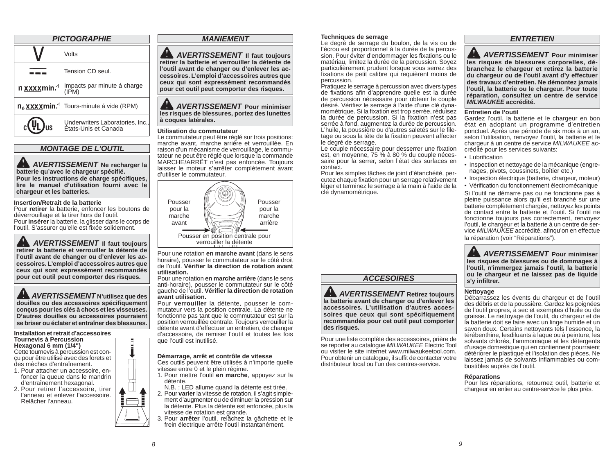| <b>PICTOGRAPHIE</b>             |                                                          |  |
|---------------------------------|----------------------------------------------------------|--|
|                                 | Volts                                                    |  |
|                                 | Tension CD seul.                                         |  |
| n xxxxmin. <sup>1</sup>         | Impacts par minute á charge<br>(IPM)                     |  |
| $n_0$ x x x x min. <sup>1</sup> | Tours-minute á vide (RPM)                                |  |
|                                 | Underwriters Laboratories, Inc.,<br>États-Unis et Canada |  |

# *MONTAGE DE L'OUTIL*

*AVERTISSEMENT* Ne recharger la **batterie qu'avec le chargeur spécifi é. Pour les instructions de charge spécifi ques, lire le manuel d'utilisation fourni avec le chargeur et les batteries.**

#### **Insertion/Retrait de la batterie**

 Pour **retirer** la batterie, enfoncer les boutons de déverrouillage et la tirer hors de l'outil. Pour **insérer** la batterie, la glisser dans le corps de l'outil. S'assurer qu'elle est fixée solidement.

**AND AVERTISSEMENT** II faut toujours **retirer la batterie et verrouiller la détente de l'outil avant de changer ou d'enlever les accessoires. L'emploi d'accessoires autres que ceux qui sont expressément recommandés pour cet outil peut comporter des risques.** 

 *AVERTISSEMENT* **N'utilisez que des douilles ou des accessoires spécifi quement conçus pour les clés à chocs et les visseuses. D'autres douilles ou accessoires pourraient se briser ou éclater et entraîner des blessures.**

#### **Installation et retrait d'accessoiresTournevis à Percussion Hexagonal 6 mm (1/4")**

Cette tournevis à percussion est conçu pour être utilisé avec des forets et des mèches d'entraînement.

- 1. Pour attacher un accessoire, enfoncer la queue dans le mandrin d'entraînement hexagonal. 2. Pour retirer l'accessoire, tirer
- l'anneau et enlever l'accessoire. Relâcher l'anneau.



 *AVERTISSEMENT* **Pour minimiser les risques de blessures, portez des lunettes à coques latérales.**

#### **Utilisation du commutateur**

 Le commutateur peut être réglé sur trois positions: marche avant, marche arrière et verrouillée. En raison d'un mécanisme de verrouillage, le commu-<br>tateur ne peut être réglé que lorsque la commande MARCHE/ARRÊT n'est pas enfoncée. Toujours laisser le moteur s'arrêter complètement avant d'utiliser le commutateur.



Pour une rotation **en marche avant** (dans le sens horaire), pousser le commutateur sur le côté droit de l'outil. **Vérifi er la direction de rotation avant utilisation.**

 Pour une rotation **en marche arrière** (dans le sens anti-horaire), pousser le commutateur sur le côté gauche de l'outil. **Vérifi er la direction de rotation avant utilisation.** 

 Pour **verrouiller** la détente, pousser le commutateur vers la position centrale. La détente ne fonctionne pas tant que le commutateur est sur la position verrouillée centrale. Toujours verrouiller la détente avant d'effectuer un entretien, de changer d'accessoire, de remiser l'outil et toutes les fois que l'outil est inutilisé.

#### **Démarrage, arrêt et contrôle de vitesse**

Ces outils peuvent être utilisés à n'importe quelle vitesse entre 0 et le plein régime.

- 1. Pour mettre l'outil **en marche**, appuyez sur la détente.
- N.B. : LED allume quand la détente est tirée.
- 2. Pour **varier** la vitesse de rotation, il s'agit simplement d'augmenter ou de diminuer la pression sur la détente. Plus la détente est enfoncée, plus la vitesse de rotation est grande.
- 3. Pour **arrêter** l'outil, relâchez la gâchette et le frein électrique arrête l'outil instantanément.

### **Techniques de serrage**

Le degré de serrage du boulon, de la vis ou de l'écrou est proportionnel à la durée de la percussion. Pour éviter d'endommager les fixations ou le matériau, limitez la durée de la percussion. Soyez particulièrement prudent lorsque vous serrez des fixations de petit calibre qui requièrent moins de percussion.

Pratiquez le serrage à percussion avec divers types de fixations afin d'apprendre quelle est la durée de percussion nécessaire pour obtenir le couple désiré. Vérifiez le serrage à l'aide d'une clé dynamométrique. Si la fixation est trop serrée, réduisez la durée de percussion. Si la fixation n'est pas serrée à fond, augmentez la durée de percussion. L'huile, la poussière ou d'autres saletés sur le filetage ou sous la tête de la fixation peuvent affecter le degré de serrage.

Le couple nécessaire pour desserrer une fixation est, en movenne, 75 % à 80 % du couple nécessaire pour la serrer, selon l'état des surfaces en contact.

 Pour les simples tâches de joint d'étanchéité, percutez chaque fixation pour un serrage relativement léger et terminez le serrage à la main à l'aide de la clé dynamométrique.

 *AVERTISSEMENT* **Retirez toujours la batterie avant de changer ou d'enlever les accessoires. L'utilisation d'autres accessoires que ceux qui sont spécifiquement recommandés pour cet outil peut comporter des risques.** 

Pour une liste complète des accessoires, prière de se reporter au catalogue *MILWAUKEE* Electric Tool ou visiter le site internet www.milwaukeetool.com. Pour obtenir un catalogue, il suffit de contacter votre distributeur local ou l'un des centres-service.

# *ENTRETIEN*

 *AVERTISSEMENT* **Pour minimiser les risques de blessures corporelles, débranchez le chargeur et retirez la batterie du chargeur ou de l'outil avant d'y effectuer des travaux d'entretien. Ne démontez jamais l'outil, la batterie ou le chargeur. Pour toute réparation, consultez un centre de service** *MILWAUKEE* **accrédité.**

#### **Entretien de l'outil**

 Gardez l'outil, la batterie et le chargeur en bon état en adoptant un programme d'entretien ponctuel. Après une période de six mois à un an, selon l'utilisation, renvoyez l'outil, la batterie et le chargeur à un centre de service *MILWAUKEE* accrédité pour les services suivants:

- Lubrification
- Inspection et nettoyage de la mécanique (engrenages, pivots, coussinets, boîtier etc.)
- Inspection électrique (batterie, chargeur, moteur)
- Vérification du fonctionnement électromécanique Si l'outil ne démarre pas ou ne fonctionne pas à pleine puissance alors qu'il est branché sur une batterie complètement chargée, nettoyez les points

de contact entre la batterie et l'outil. Si l'outil ne fonctionne toujours pas correctement, renvoyez l'outil, le chargeur et la batterie à un centre de service *MILWAUKEE* accrédité, afi nqu'on en effectue la réparation (voir "Réparations").

 *AVERTISSEMENT* **Pour minimiser les risques de blessures ou de dommages à l'outil, n'immergez jamais l'outil, la batterie ou le chargeur et ne laissez pas de liquide** *ACCESOIRES***<sup>s</sup>'y infi ltrer.**

#### **Nettoyage**

Débarrassez les évents du chargeur et de l'outil des débris et de la poussière. Gardez les poignées de l'outil propres, à sec et exemptes d'huile ou de graisse. Le nettoyage de l'outil, du chargeur et de la batterie doit se faire avec un linge humide et un savon doux. Certains nettoyants tels l'essence, la térébenthine, lesdiluants à laque ou à peinture, les solvants chlorés, l'ammoniaque et les détergents d'usage domestique qui en contiennent pourraient détériorer le plastique et l'isolation des pièces. Ne laissez jamais de solvants inflammables ou combustibles auprès de l'outil.

#### **Réparations**

Pour les réparations, retournez outil, batterie et chargeur en entier au centre-service le plus près.

I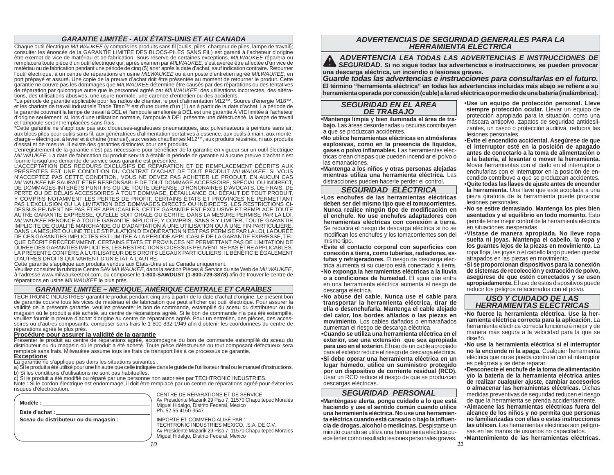## *GARANTIE LIMITÉE - AUX ÉTATS-UNIS ET AU CANADA*

Chaque outil électrique MILWAUKEE (y compris les produits sans fil [outils, piles, chargeur de piles, lampe de travail];<br>consulter les énoncés de la GARANTIE LIMITÉE DES BLOCS-PILES SANS FIL) est garanti à l'acheteur d'ori être exempt de vice de matériau et de fabrication. Sous réserve de certaines exceptions, *MILWAUKEE* réparera ou remplacera toute pièce d'un outil électrique qui, après examen par *MILWAUKEE*, s'est avérée être affectée d'un vice de matériau ou de fabrication pendant une période de cinq (5) ans\* après la date d'achat, sauf indication contraire. Retourner l'outil électrique, à un centre de réparations en usine *MILWAUKEE* ou à un poste d'entretien agréé *MILWAUKEE*, en port prépayé et assuré. Une copie de la preuve d'achat doit être présentée au moment de retourner le produit. Cette garantie ne couvre pas les dommages que *MILWAUKEE* détermine être causés par des réparations ou des tentatives de réparation par quiconque autre que le personnel agréé par *MILWAUKEE*, des utilisations incorrectes, des altérations, des utilisations abusives, une usure normale, une carence d'entretien ou des accidents.

\*La période de garantie applicable pour les radios de chantier, le port d'alimentation M12™, Source d'énergie M18™,<br>et les chariots de travail industriels Trade Titan™ est d'une durée d'un (1) an à partir de la date d'ach la garantie couvrant la lampe de travail à DÉL et l'ampoule améliorée à DÉL est une garantie À VIE limitée à l'acheteur<br>d'origine seulement; si, lors d'une utilisation normale, l'ampoule à DÉL présente une défectuosité, la et l'ampoule seront remplacées sans frais.

\*Cette garantie ne s'applique pas aux cloueuses-agrafeuses pneumatiques, aux pulvérisateurs à peinture sans air, aux blocs piles pour outils sans fil, aux génératrices d'alimentation portatives à essence, aux outils à main, aux monte-<br>charge – électrique, à levier et à chaîne (manuel), aux vestes chauffantes M12™, aux produits réusi d'essai et de mesure. Il existe des garanties distinctes pour ces produits.

L'enregistrement de la garantie n'est pas nécessaire pour bénéficier de la garantie en vigueur sur un outil électrique *MILWAUKEE*. La date de fabrication du produit servira à établir la période de garantie si aucune preuve d'achat n'est<br>fournie lorsqu'une demande de service sous garantie est présentée.

L'ACCEPTATION DES RECOURS EXCLUSIFS DE RÉPARATION ET DE REMPLACEMENT DÉCRITS AUX PRÉSENTES EST UNE CONDITION DU CONTRAT D'ACHAT DE TOUT PRODUIT *MILWAUKEE*. SI VOUS N'ACCEPTEZ PAS CETTE CONDITION, VOUS NE DEVEZ PAS ACHETER LE PRODUJT. EN AUCUN CAS<br>MILWAUKEENE SAURAIT ÊTRE RESPONSABLE DE TOUT DOMMAGE ACCESSOIRE, SPÉCIAL OU INDIRECT, *MILWAUKEE* NE SAURAIT ÊTRE RESPONSABLE DE TOUT DOMMAGE ACCESSOIRE, SPÉCIAL OU INDIRECT,<br>DE DOMMAGES-INTÉRÊTS PUNITIFS OU DE TOUTE DÉPENSE, D'HONORAIRES D'AVOCATS, DE FRAIS, DE<br>PERTE OU DE DÉLAIS ACCESSOIRES À TOUT DOMMAGE PAS L'EXCLUSION OU LA LIMITATION DES DOMMAGES DIRECTS OU INDIRECTS, LES RESTRICTIONS CI-<br>DESSUS PEUVENT NE PAS ÊTRE APPLICABLES. CETTE GARANTIE EST EXCLUSIVE ET REMPLACE TOUTE AUTRE GARANTIE EXPRESSE, QU'ELLE SOIT ORALE OU ÉCRITE. DANS LA MESURE PERMISE PAR LA LOI. *MILWAUKEE* RENONCE À TOUTE GARANTIE IMPLICITE, Y COMPRIS, SANS S'Y LIMITER, TOUTE GARANTIE<br>IMPLICITE DE QUALITÉ MARCHANDE OU D'ADAPTATION À UNE UTILISATION OU À UNE FIN PARTICULIÈRE. DANS LAMESURE OÙ UNE TELLE STIPULATION D'EXONÉRATION N'EST PAS PERMISE PAR LA LOI, LA DURÉE<br>DE CES GARANTIES IMPLICITES EST LIMITÉE À LA PÉRIODE APPLICABLE DE LA GARANTIE EXPRESSE, TEL<br>QUE DÉCRIT PRÉCÉDEMMENT. CERTAINS ÉTA DURÉE DES GARANTIES IMPLICITES, LES RESTRICTIONS CIDESSUS PEUVENT NE PAS ÈTRE APPLICABLES.<br>LA PRÉSENTE CONFÈRE À L'UTILISATEUR DES DROITS LÉGAUX PARTICULIERS; IL BÉNÉFICIE ÉGALEMENT<br>D'AUTRES DROITS QUI VARIENT D'UN ÉTAT À

Cette garantie s'applique aux produits vendus aux États-Unis et au Canada uniquement.

Veuillez consulter la rubrique Centre SAV *MILWAUKEE*, dans la section Pièces & Service du site Web de *MILWAUKEE*, à l'adresse www.milwaukeetool.com, ou composer le **1-800-SAWDUST (1-800-729-3878)** afi n de trouver le centre de réparations en usine *MILWAUKEE* le plus près.

#### *GARANTIE LIMITÉE – MEXIQUE, AMÉRIQUE CENTRALE ET CARAÏBES*

TECHTRONIC INDUSTRIES' garantit le produit pendant cinq ans à partir de la date d'achat d'origine. Le présent bon de garantie couvre tous les vices de matériau et de fabrication que peut afficher cet outil électrique. Pour assurer la validité de la présente garantie, veuillez présenter le bon de commande, estampillé du sceau du distributeur ou du magasin où le produit a été acheté, au centre de réparations agréé. Si le bon de commande n'a pas été estampillé, veuillez fournir la preuve d'achat d'origine au centre de réparations agréé. Pour un entretien, des pièces, des accessoires ou d'autres composants, composer sans frais le 1-800-832-1949 afin d'obtenir les coordonnées du centre de<br>réparations agréé le plus près.

réparations agréé le plus près.<br><mark>Procédure pour assurer la validité de la garantie</mark><br>Présenter le produit au centre de réparations agréé, accompagné du bon de commande estampillé du sceau du distributeur ou du magasin où le produit a été acheté. Toute pièce défectueuse ou tout composant défectueux sera remplacé sans frais. Milwaukee assume tous les frais de transport liés à ce processus de garantie. **Exceptions**

La garantie ne s'applique pas dans les situations suivantes :

a) Si le produit a été utilisé pour une fin autre que celle indiquée dans le guide de l'utilisateur final ou le manuel d'instructions. b) Si les conditions d'utilisations ne sont pas habituelles.

c) Si le produit a été modifié ou réparé par une personne non autorisée par TECHTRONIC INDUSTRIES. Note : Si le cordon électrique est endommagé, il doit être remplacé par un centre de réparations agréé pour éviter les<br>risques d'électrocution.

| Modèle :<br>Date d'achat :            | <u>ULIVINE DE NEFANATIONS ET DE SENVIUE</u><br>Av Presidente Mazarik 29 Piso 7, 11570 Chapultepec Morales<br>Miguel Hidalgo, Distrito Federal, Mexico<br>Ph. 52 55 4160-3547           |
|---------------------------------------|----------------------------------------------------------------------------------------------------------------------------------------------------------------------------------------|
| Sceau du distributeur ou du magasin : | IMPORTÉ ET COMMERCIALISÉ PAR :<br>TECHTRONIC INDUSTRIES MEXICO. S.A. DE C.V.<br>Av Presidente Mazarik 29 Piso 7, 11570 Chapultepec Morales<br>Miguel Hidalge, Dictrite Eederal, Mexico |

CENTRE DE RÉPARATIONS ET DE SERVICE Miguel Hidalgo, Distrito Federal, Mexico Ph. 52 55 4160-3547

 IMPORTÉ ET COMMERCIALISÉ PAR : Av Presidente Mazarik 29 Piso 7, 11570 Chapultepec Morales Miguel Hidalgo, Distrito Federal, Mexico

# *ADVERTENCIAS DE SEGURIDAD GENERALES PARA LA HERRAMIENTA ELÉCTRICA*

 *ADVERTENCIA LEA TODAS LAS ADVERTENCIAS E INSTRUCCIONES DE SEGURIDAD.* **Si no sigue todas las advertencias e instrucciones, se pueden provocar una descarga eléctrica, un incendio o lesiones graves.** 

**una descarga eléctrica, un incendio o lesiones graves.** *Guarde todas las advertencias e instrucciones para consultarlas en el futuro.*  **El término "herramienta eléctrica" en todas las advertencias incluidas más abajo se refi ere a su herramienta operada por conexión (cable) a la red eléctrica o por medio de una batería (inalámbrica).**

#### *SEGURIDAD EN EL ÁREA DE TRABAJO*

 **• Mantenga limpia y bien iluminada el área de trabajo.** Las áreas desordenadas u oscuras contribuyen a que se produzcan accidentes.

**• No utilice herramientas eléctricas en atmósferas explosivas, como en la presencia de líquidos, gases o polvo infl amables.** Las herramientas eléctricas crean chispas que pueden incendiar el polvo o las emanaciones.

 **• Mantenga a los niños y otras personas alejadas mientras utiliza una herramienta eléctrica.** Las distracciones pueden hacerle perder el control.

### *SEGURIDAD ELÉCTRICA*

 **• Los enchufes de las herramientas eléctricas deben ser del mismo tipo que el tomacorrientes. Nunca realice ningún tipo de modifi cación en el enchufe. No use enchufes adaptadores con herramientas eléctricas con conexión a tierra.**  Se reducirá el riesgo de descarga eléctrica si no se modifican los enchufes y los tomacorrientes son del mismo tipo.

**• Evite el contacto corporal con superfi cies con conexión a tierra, como tuberías, radiadores, estufas y refrigeradores.** El riesgo de descarga eléctrica aumenta si su cuerpo está conectado a tierra. **• No exponga la herramientas eléctricas a la lluvia o a condiciones de humedad.** El agua que entra en una herramienta eléctrica aumenta el riesgo de descarga eléctrica.

**• No abuse del cable. Nunca use el cable para transportar la herramienta eléctrica, tirar de ella o desenchufarla. Mantenga el cable alejado del calor, los bordes afi lados o las piezas en movimiento.** Los cables dañados o enmarañados aumentan el riesgo de descarga eléctrica.

**• Cuando se utiliza una herramienta eléctrica en el exterior, use una extensión que sea apropiada para uso en el exterior.** El uso de un cable apropiado para el exterior reduce el riesgo de descarga eléctrica. **• Si debe operar una herramienta eléctrica en un lugar húmedo, utilice un suministro protegido por un dispositivo de corriente residual (RCD).**  Usar un RCD reduce el riesgo de que se produzcan descargas eléctricas.

# *SEGURIDAD PERSONAL*

 *11* **• Manténgase alerta, ponga cuidado a lo que está haciendo y use el sentido común cuando utilice una herramienta eléctrica. No use una herramienta eléctrica cuando está cansado o bajo la infl uencia de drogas, alcohol o medicinas.** Despistarse un minuto cuando se utiliza una herramienta eléctrica puede tener como resultado lesiones personales graves.

**• Use un equipo de protección personal. Lleve siempre protección ocular.** Llevar un equipo de protección apropiado para la situación, como una máscara antipolvo, zapatos de seguridad antideslizantes, un casco o protección auditiva, reducirá las lesiones personales.

**• Evite el encendido accidental. Asegúrese de que el interruptor esté en la posición de apagado antes de conectarlo a la toma de alimentación o a la batería, al levantar o mover la herramienta.**  Mover herramientas con el dedo en el interruptor o enchufarlas con el interruptor en la posición de encendido contribuye a que se produzcan accidentes.

**• Quite todas las llaves de ajuste antes de encender la herramienta.** Una llave que esté acoplada a una pieza giratoria de la herramienta puede provocar lesiones personales.

**• No se estire demasiado. Mantenga los pies bien asentados y el equilibrio en todo momento.** Esto permite tener mejor control de la herramienta eléctrica en situaciones inesperadas.

**• Vístase de manera apropiada. No lleve ropa suelta ni joyas. Mantenga el cabello, la ropa y los guantes lejos de la piezas en movimiento.** La ropa floja, las joyas o el cabello largo pueden quedar atrapados en las piezas en movimiento.

**• Si se proporcionan dispositivos para la conexión de sistemas de recolección y extracción de polvo, asegúrese de que estén conectados y se usen apropiadamente.** El uso de estos dispositivos puede reducir los peligros relacionados con el polvo.

# *USO Y CUIDADO DE LAS HERRAMIENTAS ELÉCTRICAS*

**• No fuerce la herramienta eléctrica. Use la herramienta eléctrica correcta para la aplicación.** La herramienta eléctrica correcta funcionará mejor y de manera más segura a la velocidad para la que se diseñó.

 **• No use la herramienta eléctrica si el interruptor no la enciende ni la apaga.** Cualquier herramienta eléctrica que no se pueda controlar con el interruptor es peligrosa y se debe reparar.

**• Desconecte el enchufe de la toma de alimentación y/o la batería de la herramienta eléctrica antes de realizar cualquier ajuste, cambiar accesorios o almacenar las herramientas eléctricas.** Dichas medidas preventivas de seguridad reducen el riesgo de que la herramienta se prenda accidentalmente. **• Almacene las herramientas eléctricas fuera del alcance de los niños y no permita que personas no familiarizadas con ellas o estas instrucciones las utilicen.** Las herramientas eléctricas son peligro-

sas en las manos de usuarios no capacitados. **• Mantenimiento de las herramientas eléctricas.**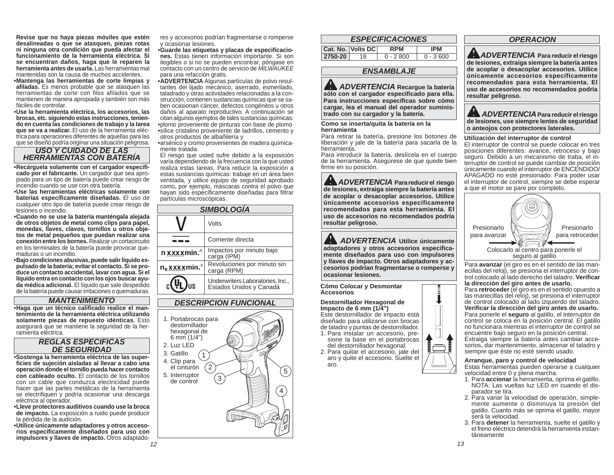**Revise que no haya piezas móviles que estén desalineadas o que se atasquen, piezas rotas ni ninguna otra condición que pueda afectar el funcionamiento de la herramienta eléctrica. Si se encuentran daños, haga que le reparen la herramienta antes de usarla.** Las herramientas mal mantenidas son la causa de muchos accidentes.

 **• Mantenga las herramientas de corte limpias y <sup>a</sup>fi ladas.** Es menos probable que se atasquen las herramientas de corte con filos afilados que se mantienen de manera apropiada y también son más fáciles de controlar.

 **• Use la herramienta eléctrica, los accesorios, las brocas, etc. siguiendo estas instrucciones, teniendo en cuenta las condiciones de trabajo y la tarea que se va a realizar.** El uso de la herramienta eléctrica para operaciones diferentes de aquellas para las que se diseñó podría originar una situación peligrosa.

*USO Y CUIDADO DE LAS HERRAMIENTAS CON BATERÍA*

**• Recárguela solamente con el cargador especifi cado por el fabricante.** Un cargador que sea apropiado para un tipo de batería puede crear riesgo de incendio cuando se use con otra batería.

 **• Use las herramientas eléctricas solamente con baterías específi camente diseñadas.** El uso de cualquier otro tipo de batería puede crear riesgo de lesiones o incendio.

 **• Cuando no se use la batería manténgala alejada de otros objetos de metal como clips para papel, monedas, llaves, clavos, tornillos u otros objetos de metal pequeños que puedan realizar una conexión entre los bornes.** Realizar un cortacircuito en los terminales de la batería puede provocar quemaduras o un incendio.

 **• Bajo condiciones abusivas, puede salir líquido expulsado de la batería; evitar el contacto. Si se produce un contacto accidental, lavar con agua. Si el líquido entra en contacto con los ojos buscar ayuda médica adicional.** El líquido que sale despedido de la batería puede causar irritaciones o quemaduras.

# *MANTENIMIENTO*

 **• Haga que un técnico califi cado realice el mantenimiento de la herramienta eléctrica utilizando solamente piezas de repuesto idénticas.** Esto asegurará que se mantiene la seguridad de la herramienta eléctrica.

#### *REGLAS ESPECIFICAS DE SEGURIDAD*

•**Sostenga la herramienta eléctrica de las superfi cies de sujeción aisladas al llevar a cabo una operación donde el tornillo pueda hacer contacto con cableado oculto.** El contacto de los tornillos con un cable que conduzca electricidad puede hacer que las partes metálicas de la herramienta se electrifiquen y podría ocasionar una descarga eléctrica al operador.

**• Lleve protectores auditivos cuando use la broca de impacto.** La exposición a ruido puede producir la pérdida de la audición.

**• Utilice únicamente adaptadores y otros accesorios específi camente diseñados para uso con impulsores y llaves de impacto.** Otros adaptado-

*12*

res y accesorios podrían fragmentarse o romperse y ocasionar lesiones.

**• Guarde las etiquetas y placas de especifi caciones.** Estas tienen información importante. Si son ilegibles o si no se pueden encontrar, póngase en contacto con un centro de servicio de *MILWAUKEE*  para una refacción gratis.

**• ADVERTENCIA** Algunas partículas de polvo resultantes del lijado mecánico, aserrado, esmerilado, taladrado y otras actividades relacionadas a la construcción, contienen sustancias químicas que se saben ocasionan cáncer, defectos congénitos u otros daños al aparato reproductivo. A continuación se citan algunos ejemplos de tales sustancias químicas: • plomo proveniente de pinturas con base de plomo • sílice cristalino proveniente de ladrillos, cemento y

otros productos de albañilería y • arsénico y cromo provenientes de madera químicamente tratada.

 El riesgo que usted sufre debido a la exposición varía dependiendo de la frecuencia con la que usted realiza estas tareas. Para reducir la exposición a estas sustancias químicas: trabaje en un área bien ventilada, y utilice equipo de seguridad aprobado como, por ejemplo, máscaras contra el polvo que hayan sido específicamente diseñadas para filtrar partículas microscópicas.

| <b>SIMBOLOGÍA</b>                     |                                                             |  |  |
|---------------------------------------|-------------------------------------------------------------|--|--|
|                                       | Volts                                                       |  |  |
|                                       | Corriente directa                                           |  |  |
| n xxxxmin. <sup>1</sup>               | Impactos por minuto bajo<br>carga (IPM)                     |  |  |
| 1 <sub>0</sub> xxxxmin. <sup>-1</sup> | Revoluciones por minuto sin<br>carga (RPM)                  |  |  |
|                                       | Underwriters Laboratories, Inc.,<br>Estados Unidos y Canadá |  |  |

## *DESCRIPCION FUNCIONAL*



| <b>ESPECIFICACIONES</b> |                   |            |            |  |
|-------------------------|-------------------|------------|------------|--|
|                         | Cat. No. Volts DC | <b>RPM</b> | IPM        |  |
| 2750-20                 | 18                | $0 - 2800$ | $0 - 3600$ |  |
|                         |                   |            |            |  |

# *ENSAMBLAJE*

 *ADVERTENCIA* **Recargue la batería**  sólo con el cargador especificado para ella. Para instrucciones específicas sobre cómo **cargar, lea el manual del operador suministrado con su cargador y la batería.** 

#### **Como se inserta/quita la batería en la herramienta**

 Para retirar la batería, presione los botones de liberación y jale de la batería para sacarla de la herramienta.

 Para introducir la batería, deslícela en el cuerpo de la herramienta. Asegúrese de que quede bien firme en su posición.

 *ADVERTENCIA* **Para reducir el riesgo de lesiones, extraiga siempre la batería antes de acoplar o desacoplar accesorios. Utilice únicamente accesorios específicamente recomendados para esta herramienta. El uso de accesorios no recomendados podría resultar peligroso.**

 *ADVERTENCIA* **Utilice únicamente**  adaptadores y otros accesorios específica**mente diseñados para uso con impulsores y llaves de impacto. Otros adaptadores y accesorios podrían fragmentarse o romperse y ocasionar lesiones.**

**Cómo Colocar y Desmontar Accesorios**

#### **Destornillador Hexagonal de Impacto de 6 mm (1/4")**

Este destornillador de impacto está diseñado para utilizarse con brocas de taladro y puntas de destornillador.

- 1. Para instalar un accesorio, presione la base en el portabrocas del destornillador hexagonal.
- 2. Para quitar el accesorio, jale del aro y quite el accesorio. Suelte el aro.

## *OPERACION*

*ADVERTENCIA* **Para reducir el riesgo de lesiones, extraiga siempre la batería antes de acoplar o desacoplar accesorios. Utilice únicamente accesorios específicamente recomendados para esta herramienta. El uso de accesorios no recomendados podría resultar peligroso.**



#### **Utilización del interruptor de control**

El interruptor de control se puede colocar en tres posiciones diferentes: avance, retroceso y bajo seguro. Debido a un mecanismo de traba, el interruptor de control se puede cambiar de posición únicamente cuando el interruptor de ENCENDIDO/ APAGADO no esté presionado. Para poder usar el interruptor de control, siempre se debe esperar a que el motor se pare por completo.



Para **avanzar** (el giro es en el sentido de las manecillas del reloj), se presiona el interruptor de control colocado al lado derecho del taladro. **Verifi car la dirección del giro antes de usarlo.**

Para **retroceder** (el giro es en el sentido opuesto a las manecillas del reloj), se presiona el interruptor de control colocado al lado izquierdo del taladro. **Verifi car la dirección del giro antes de usarlo.**  Para ponerle el **seguro** al gatillo, el interruptor de control se coloca en la posición central. El gatillo no funcionara mientras el interruptor de control se encuentre bajo seguro en la posición central. Extraiga siempre la batería antes cambiar acce-

sorios, dar mantenimiento, almacenar el taladro y siempre que éste no esté siendo usado.

#### **Arranque, paro y control de velocidad**

Estas herramientas pueden operarse a cualquier velocidad entre 0 y plena marcha.

- 1. Para **accionar** la herramienta, oprima el gatillo. NOTA: Las vueltas luz LED en cuando el disparador se tira.
- 2. Para variar la velocidad de operación, simplemente aumente o disminuya la presión del gatillo. Cuanto más se oprima el gatillo, mayor será la velocidad.
- 3. Para **detener** la herramienta, suelte el gatillo y el freno eléctrico detendrá la herramienta instantáneamente

Ē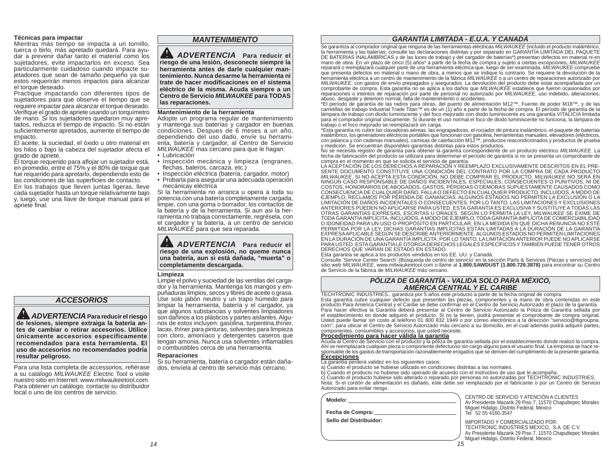#### **Técnicas para impactar**

Mientras más tiempo se impacta a un tornillo, tuerca o birlo, más apretado quedará. Para ayudar a prevenir dañar tanto el material como los sujetadores, evite impactarlos en exceso. Sea particularmente cuidadoso cuando impacte sujetadores que sean de tamaño pequeño ya que estos requerirán menos impactos para alcanzar el torque deseado.

Practique impactando con diferentes tipos de sujetadores para que observe el tiempo que se requiere impactar para alcanzar el torque deseado. Verifique el grado de apriete usando un torquímetro de mano. Si los sujetadores quedaron muy apretados, reduzca el tiempo de impacto. Si no están suficientemente apretados, aumente el tiempo de impacto.

El aceite, la suciedad, el óxido u otro material en los hilos o bajo la cabeza del sujetador afecta el grado de apriete.

El torque requerido para aflojar un sujetador está, en promedio, entre el 75% y el 80% de torque que fue requerido para apretarlo, dependiendo esto de las condiciones de las superficies de contacto.

En los trabajos que lleven juntas ligeras, lleve cada sujetador hasta un torque relativamente bajo y, luego, use una llave de torque manual para el apriete final.

#### *MANTENIMIENTO*

 *ADVERTENCIA* **Para reducir el riesgo de una lesión, desconecte siempre la herramienta antes de darle cualquier mantenimiento. Nunca desarme la herramienta ni trate de hacer modifi caciones en el sistema eléctrico de la misma. Acuda siempre a un Centro de Servicio** *MILWAUKEE* **para TODAS las reparaciones.**

#### **Mantenimiento de la herramienta**

 Adopte un programa regular de mantenimiento y mantenga sus baterías y cargador en buenas condiciones. Despues de 6 meses a un año, dependiendo del uso dado, envíe su herramienta, batería y cargador, al Centro de Servicio *MILWAUKEE* mas cercano para que le hagan: • Lubricación

- Inspección mecánica y limpieza (engranes, flechas, baleros, carcaza, etc.)
- Inspección eléctrica (batería, cargador, motor)
- Probarla para asegurar una adecuada operación mecánicay eléctrica

Si la herramienta no arranca u opera a toda su potencia con una batería completamente cargada, limpie, con una goma o borrador, los contactos de la batería y de la herramienta. Si aun asi la herramienta no trabaja correctamente, regrésela, con el cargador y la batería, a un centro de servicio *MILWAUKEE* para que sea reparada.

 *ADVERTENCIA* **Para reducir el riesgo de una explosión, no queme nunca una batería, aun si está dañada, "muerta" o completamente descargada.**

#### **Limpieza**

# *ACCESORIOS*

 *ADVERTENCIA* **Para reducir el riesgo de lesiones, siempre extraiga la batería antes de cambiar o retirar accesorios. Utilice únicamente accesorios específicamente recomendados para esta herramienta. El uso de accesorios no recomendados podría resultar peligroso.**

a su catálogo *MILWAUKEE* Electric Tool o visite nuestro sitio en Internet: www.milwaukeetool.com. Para obtener un catálogo, contacte su distribuidor local o uno de los centros de servicio.

Limpie el polvo y suciedad de las ventilas del cargador y la herramienta. Mantenga los mangos y empuñaduras limpios, secos y libres de aceite o grasa. Use solo jabón neutro y un trapo húmedo para limpiar la herramienta, batería y el cargador, ya que algunos substancias y solventes limpiadores son dañinos a los plásticos y partes aislantes. Algunos de estos incluyen: gasolina, turpentina,thíner, lacas, thíner para pinturas, solventes para limpieza con cloro, amoníaco y detergentes caseros que tengan amonia. Nunca usa solventes inflamables o combustibles cerca de una herramienta.

**Reparaciones**<br>Si su herramienta, batería o cargador están daña-Para una lista completa de accessorios, refiérase dos, envíela al centro de servicio más cercano.

#### *GARANTÍA LIMITADA - E.U.A. Y CANADÁ*

Se garantiza al comprador original que ninguna de las herramientas eléctricas MILWAUKEE (incluido el producto inalámbrico, la herramienta y las baterías; consulte las declaraciones distintas y por separado en GARANTIA LIMI mano de obra. En un plazo de cinco (5) años\* a partir de la fecha de compra y sujeto a ciertas excepciones, *MILWAUKEE* reparará o reemplazará cualquier parte de una herramienta eléctrica que, luego de ser examinada, *MILWAUKEE* compruebe que presenta defectos en material o mano de obra, a menos que se indique lo contrario. Se requiere la devolución de la herramienta eléctrica a un centro de mantenimiento de la fábrica *MILWAUKEE* o a un centro de reparaciones autorizado por *MILWAUKEE*, con gastos de envío prepagados y asegurados. La devolución del producto debe estar acompañada por un comprobante de compra. Esta garantía no se aplica a los daños que *MILWAUKEE* establece que fueron ocasionados por reparaciones o intentos de reparación por parte de personal no autorizado por *MILWAUKEE*, uso indebido, alteraciones, abuso, desgaste y deterioro normal, falta de mantenimiento o accidentes.

\*El período de garantía de las radios para obras, del puerto de alimentación M12™, Fuente de poder M18™, y de las carretillas de trabajo industrial Trade Titan™ es de un (1) año a partir de la fecha de compra. El período de garantía de la lámpara de trabajo con diodo luminiscente y del foco mejorado con diodo luminiscente es una garantía VITALICIA limitada para el comprador original únicamente. Si durante el uso normal el foco de diodo luminiscente no funciona, la lámpara de trabajo o el foco mejorado se reemplazará sin carga.

\*Esta garantía no cubre las clavadoras aéreas, las engrapadoras, el rociador de pintura inalámbrico, el paquete de baterías inalámbrico, los generadores eléctricos portátiles que funcionan con gasolina, herramientas manuales, elevadores (eléctricos, con palanca y con cadenas manuales), camisas de calefacción M12™, productos reacondicionados y productos de prueba y medición. Se encuentran disponibles garantías distintas para estos productos.

No se necesita registro de garantía para obtener la garantía correspondiente de un producto eléctrico *MILWAUKEE*. La fecha de fabricación del producto se utilizará para determinar el período de garantía si no se presenta un comprobante de

compra en el momento en que se solicita el servicio de garantía. LA ACEPTACIÓN DE LOS DERECHOS A REPARACIÓN Y REEMPLAZO EXCLUSIVAMENTE DESCRITOS EN EL PRE-SENTE DOCUMENTO CONSTITUYE UNA CONDICIÓN DEL CONTRATO POR LA COMPRA DE CADA PRODUCTO MILWAUKEE. SI NO ACEPTA ESTA CONDICIÓN, NO DEBE COMPRAR EL PRODUCTO. MILWAUKEE NO SERÁ EN NINGUN CASO RESPONSABLE DE DANOS INCIDENTALES, ESPECIALES, CONSECUENTES O PUNITIVOS, NI DE COSTOS, HONORARIOS DE ABOGADOS, GASTOS, P OTRAS GARANTÍAS EXPRESAS, ESCRITAS U ORALES. SEGUN LO PERMITA LA LEY, *MILWAUKEE* SE EXIME DE<br>TODA GARANTÍA IMPLÍCITA, INCLUIDOS, AMODO DE EJEMPLO, TODA GARANTÍA IMPLÍCITA DE COMERCIABILIDAD<br>O IDONEIDAD PARA UN USO O PROPÓ EN LA DURACIÓN DE UNA GARANTÍA IMPLÍCITA. POR LO TANTO, LA LIMITACIÓN ANTERIOR PUEDE NO APLICARSE EN LA DURACIÓN DE UNA GARANTÍA IMPLÍCITA. POR LO TANTO, LA LIMITACIÓN ANTERIOR PUEDE NO APLICARSE<br>PARA USTED. ESTA GARANTÍA LE OTORGA DERECHOS LEGALES ESPECÍFICOS Y TAMBIÉN PUEDE TENER OTROS DERECHOS QUE VARÍAN DE ESTADO EN ESTADO.

Esta garantía se aplica a los productos vendidos en los EE. UU. y Canadá.

Consulte 'Service Center Search' (Búsqueda de centro de servicio' en la sección Parts & Services (Piezas y servicios) del sitio web *MILWAUKEE*, www.milwaukeetool.com o llame al **1.800.SAWDUST (1.800.729.3878)** para encontrar su Centro de Servicio de la fábrica de *MILWAUKEE* más cercano.

# *PÓLIZA DE GARANTÍA - VALIDA SOLO PARA MÉXICO, AMÉRICA CENTRAL Y EL CARIBE*

TECHTRONIC INDUSTRIES., garantiza por 5 años este producto a partir de la fecha original de compra. Esta garantía cubre cualquier defecto que presenten las piezas, componentes y la mano de obra contenidas en este producto Para América Central y el Caribe se debe confirmar en el Centro de Servicio Autorizado el plazo de la garantía. Para hacer efectiva la Garantía deberá presentar al Centro de Servicio Autorizado la Póliza de Garantía sellada por el establecimiento en donde adquirió el producto. Si no la tienen, podrá presentar el comprobante de compra original. Usted puede llamar sin costo al teléfono 01 800 832 1949 o por correo electrónico a la dirección "servicio@ttigroupna. com", para ubicar el Centro de Servicio Autorizado más cercano a su domicilio, en el cual además podrá adquirir partes, componentes, consumibles y accesorios, que usted necesite. **Procedimiento para hacer válida la garantía**

Acuda al Centro de Servicio con el producto y la póliza de garantía sellada por el establecimiento donde realizó la compra.<br>Ahí se reemplazará cualquier pieza o componente defectuoso sin cargo alguno para el usuario final. Ahí se reemplazará cualquier pieza o componente defectuoso sin cargo alguno para el usuario final. La empresa se hace re-<br>sponsable de los gastos de transportación razonablemente erogados que se deriven del cumplimiento de

- La garantía perderá validez en los siguientes casos:
- a) Cuando el producto se hubiese utilizado en condiciones distintas a las normales.
- b) Cuando el producto no hubiese sido operado de acuerdo con el instructivo de uso que le acompaña.

c) Cuando el producto hubiese sido alterado o reparado por personas no autorizadas por TECHTRONIC INDUSTRIES. Nota: Si el cordón de alimentación es dañado, este debe ser remplazado por el fabricante o por un Centro de Servicio Autorizado para evitar riesgo.

| Modelo:                 | CENTRO DE SERVICIO Y ATENCIÓN A CLIENTES<br>Av Presidente Mazarik 29 Piso 7, 11570 Chapultepec Morales                                                                                         |
|-------------------------|------------------------------------------------------------------------------------------------------------------------------------------------------------------------------------------------|
| Fecha de Compra:        | Miquel Hidalgo, Distrito Federal, Mexico<br>Tel. 52 55 4160-3547                                                                                                                               |
| Sello del Distribuidor: | <b>IMPORTADO Y COMERCIALIZADO POR:</b><br>TECHTRONIC INDUSTRIES MEXICO. S.A. DE C.V.<br>Av Presidente Mazarik 29 Piso 7, 11570 Chapultepec Morales<br>Miquel Hidalgo, Distrito Federal, Mexico |
|                         |                                                                                                                                                                                                |